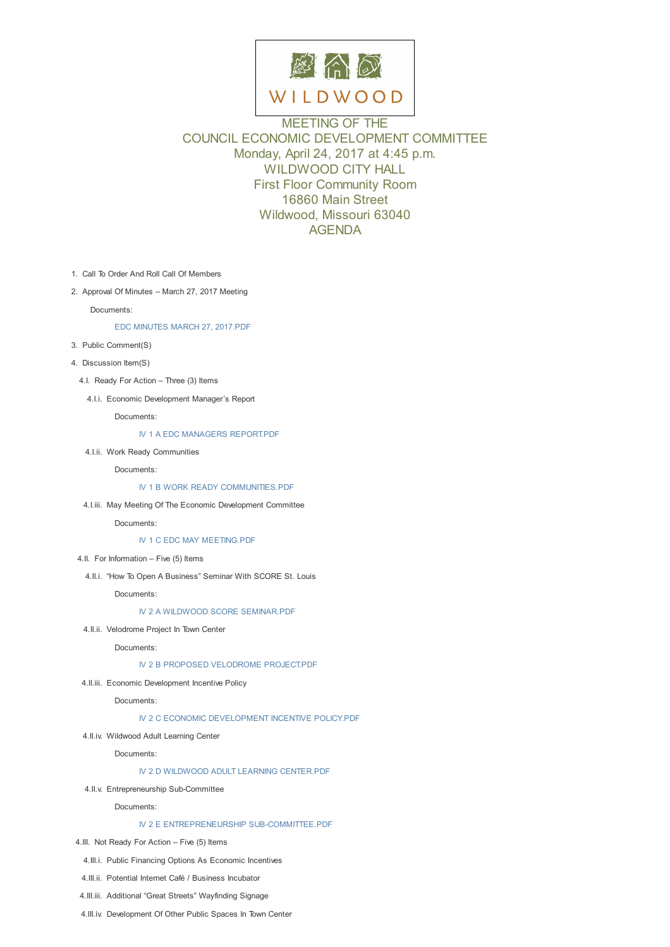

# MEETING OF THE COUNCIL ECONOMIC DEVELOPMENT COMMITTEE Monday, April 24, 2017 at 4:45 p.m. WILDWOOD CITY HALL First Floor Community Room 16860 Main Street Wildwood, Missouri 63040 AGENDA

- 1. Call To Order And Roll Call Of Members
- 2. Approval Of Minutes March 27, 2017 Meeting

Documents:

EDC MINUTES MARCH 27, 2017.PDF

- 3. Public Comment(S)
- 4. Discussion Item(S)
	- 4.I. Ready For [Action](D:/AgendaCenter/ViewFile/Item/10616?fileID=14998) Three (3) Items
		- 4.I.i. Economic Development Manager's Report

Documents:

IV 1 A EDC MANAGERS REPORT.PDF

4.I.ii. Work Ready Communities

Documents:

IV 1 B WORK READY [COMMUNITIES.P](D:/AgendaCenter/ViewFile/Item/10620?fileID=14999)DF

4.I.iii. May Meeting Of The Economic Development Committee

Documents:

#### IV 1 C EDC MAY [MEETING.PDF](D:/AgendaCenter/ViewFile/Item/10621?fileID=15000)

- 4.II. For Information Five (5) Items
	- 4.II.i. "How To Open A Business" Seminar With SCORE St. Louis

Docum[ents:](D:/AgendaCenter/ViewFile/Item/10622?fileID=15001)

## IV 2 A WILDWOOD SCORE SEMINAR.PDF

#### 4.II.ii. Velodrome Project In Town Center

## Documents:

#### IV 2 B PROPOSED [VELODROME](D:/AgendaCenter/ViewFile/Item/10624?fileID=15002) PROJECT.PDF

4.II.iii. Economic Development Incentive Policy

Documents:

## IV 2 C ECONOMIC [DEVELOPMENT](D:/AgendaCenter/ViewFile/Item/10625?fileID=15003) INCENTIVE POLICY.PDF

4.II.iv. Wildwood Adult Learning Center

Documents:

## IV 2 D WILDWOOD ADULT LEARNING [CENTER.PDF](D:/AgendaCenter/ViewFile/Item/10626?fileID=15004)

4.II.v. Entrepreneurship Sub-Committee

Documents:

## IV 2 E [ENTREPRENEURSHIP](D:/AgendaCenter/ViewFile/Item/10627?fileID=15005) SUB-COMMITTEE.PDF

- 4.III. Not Ready For Action Five (5) Items
	- 4.III.i. Public Financing Options As Economic Incentives
- 4.III.ii. Potential Internet Café / [Business](D:/AgendaCenter/ViewFile/Item/10628?fileID=15006) Incubator
- 4.III.iii. Additional "Great Streets" Wayfinding Signage
- 4.III.iv. Development Of Other Public Spaces In Town Center